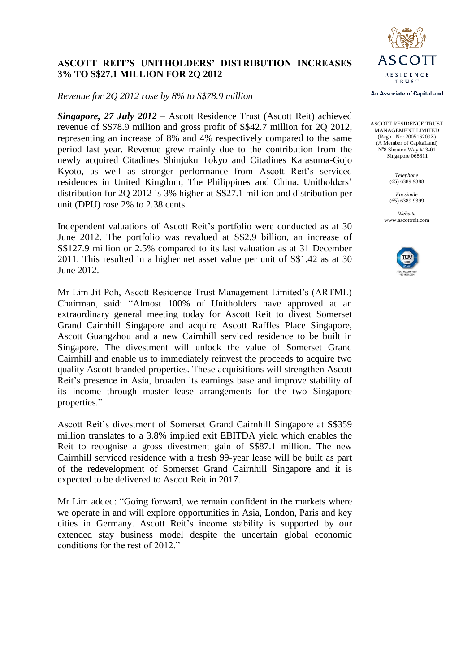

# **ASCOTT REIT'S UNITHOLDERS' DISTRIBUTION INCREASES 3% TO S\$27.1 MILLION FOR 2Q 2012**

# *Revenue for 2Q 2012 rose by 8% to S\$78.9 million*

*Singapore, 27 July 2012* – Ascott Residence Trust (Ascott Reit) achieved revenue of S\$78.9 million and gross profit of S\$42.7 million for 2Q 2012, representing an increase of 8% and 4% respectively compared to the same period last year. Revenue grew mainly due to the contribution from the newly acquired Citadines Shinjuku Tokyo and Citadines Karasuma-Gojo Kyoto, as well as stronger performance from Ascott Reit's serviced residences in United Kingdom, The Philippines and China. Unitholders' distribution for 2Q 2012 is 3% higher at S\$27.1 million and distribution per unit (DPU) rose 2% to 2.38 cents.

Independent valuations of Ascott Reit's portfolio were conducted as at 30 June 2012. The portfolio was revalued at S\$2.9 billion, an increase of S\$127.9 million or 2.5% compared to its last valuation as at 31 December 2011. This resulted in a higher net asset value per unit of S\$1.42 as at 30 June 2012.

Mr Lim Jit Poh, Ascott Residence Trust Management Limited's (ARTML) Chairman, said: "Almost 100% of Unitholders have approved at an extraordinary general meeting today for Ascott Reit to divest Somerset Grand Cairnhill Singapore and acquire Ascott Raffles Place Singapore, Ascott Guangzhou and a new Cairnhill serviced residence to be built in Singapore. The divestment will unlock the value of Somerset Grand Cairnhill and enable us to immediately reinvest the proceeds to acquire two quality Ascott-branded properties. These acquisitions will strengthen Ascott Reit's presence in Asia, broaden its earnings base and improve stability of its income through master lease arrangements for the two Singapore properties."

Ascott Reit's divestment of Somerset Grand Cairnhill Singapore at S\$359 million translates to a 3.8% implied exit EBITDA yield which enables the Reit to recognise a gross divestment gain of S\$87.1 million. The new Cairnhill serviced residence with a fresh 99-year lease will be built as part of the redevelopment of Somerset Grand Cairnhill Singapore and it is expected to be delivered to Ascott Reit in 2017.

Mr Lim added: "Going forward, we remain confident in the markets where we operate in and will explore opportunities in Asia, London, Paris and key cities in Germany. Ascott Reit's income stability is supported by our extended stay business model despite the uncertain global economic conditions for the rest of 2012."

An Associate of CapitaLand

ASCOTT RESIDENCE TRUST MANAGEMENT LIMITED (Regn. No: 200516209Z) (A Member of CapitaLand) N°8 Shenton Way #13-01 Singapore 068811

> *Telephone* (65) 6389 9388

*Facsimile* (65) 6389 9399

*Website* www.ascottreit.com

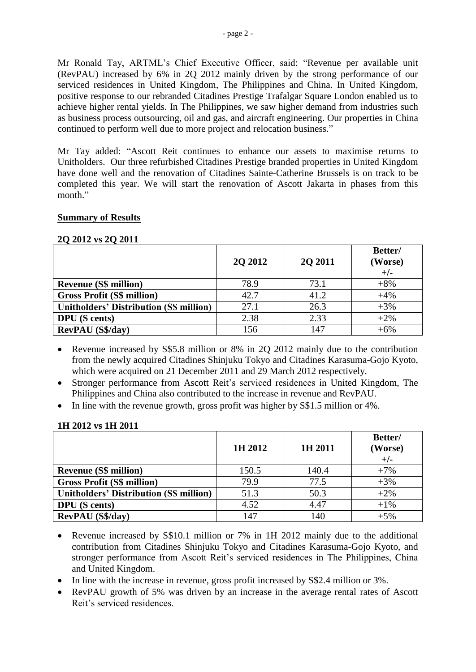Mr Ronald Tay, ARTML's Chief Executive Officer, said: "Revenue per available unit (RevPAU) increased by 6% in 2Q 2012 mainly driven by the strong performance of our serviced residences in United Kingdom, The Philippines and China. In United Kingdom, positive response to our rebranded Citadines Prestige Trafalgar Square London enabled us to achieve higher rental yields. In The Philippines, we saw higher demand from industries such as business process outsourcing, oil and gas, and aircraft engineering. Our properties in China continued to perform well due to more project and relocation business."

Mr Tay added: "Ascott Reit continues to enhance our assets to maximise returns to Unitholders. Our three refurbished Citadines Prestige branded properties in United Kingdom have done well and the renovation of Citadines Sainte-Catherine Brussels is on track to be completed this year. We will start the renovation of Ascott Jakarta in phases from this month."

### **Summary of Results**

# **2Q 2012 vs 2Q 2011**

|                                                | 2Q 2012 | 2Q 2011 | Better/<br>(Worse)<br>$+/-$ |
|------------------------------------------------|---------|---------|-----------------------------|
| <b>Revenue (S\$ million)</b>                   | 78.9    | 73.1    | $+8%$                       |
| <b>Gross Profit (S\$ million)</b>              | 42.7    | 41.2    | $+4%$                       |
| <b>Unitholders' Distribution (S\$ million)</b> | 27.1    | 26.3    | $+3%$                       |
| <b>DPU</b> (S cents)                           | 2.38    | 2.33    | $+2\%$                      |
| <b>RevPAU</b> (S\$/day)                        | 156     | 147     | $+6%$                       |

- Revenue increased by S\$5.8 million or 8% in 2Q 2012 mainly due to the contribution from the newly acquired Citadines Shinjuku Tokyo and Citadines Karasuma-Gojo Kyoto, which were acquired on 21 December 2011 and 29 March 2012 respectively.
- Stronger performance from Ascott Reit's serviced residences in United Kingdom, The Philippines and China also contributed to the increase in revenue and RevPAU.
- In line with the revenue growth, gross profit was higher by S\$1.5 million or 4%.

|                                                | 1H 2012 | 1H 2011 | Better/<br>(Worse)<br>$+/-$ |
|------------------------------------------------|---------|---------|-----------------------------|
| <b>Revenue (S\$ million)</b>                   | 150.5   | 140.4   | $+7%$                       |
| <b>Gross Profit (S\$ million)</b>              | 79.9    | 77.5    | $+3%$                       |
| <b>Unitholders' Distribution (S\$ million)</b> | 51.3    | 50.3    | $+2\%$                      |
| <b>DPU</b> (S cents)                           | 4.52    | 4.47    | $+1\%$                      |
| <b>RevPAU</b> (S\$/day)                        | 147     | 140     | $+5%$                       |

### **1H 2012 vs 1H 2011**

- Revenue increased by S\$10.1 million or 7% in 1H 2012 mainly due to the additional contribution from Citadines Shinjuku Tokyo and Citadines Karasuma-Gojo Kyoto, and stronger performance from Ascott Reit's serviced residences in The Philippines, China and United Kingdom.
- In line with the increase in revenue, gross profit increased by S\$2.4 million or 3%.
- RevPAU growth of 5% was driven by an increase in the average rental rates of Ascott Reit's serviced residences.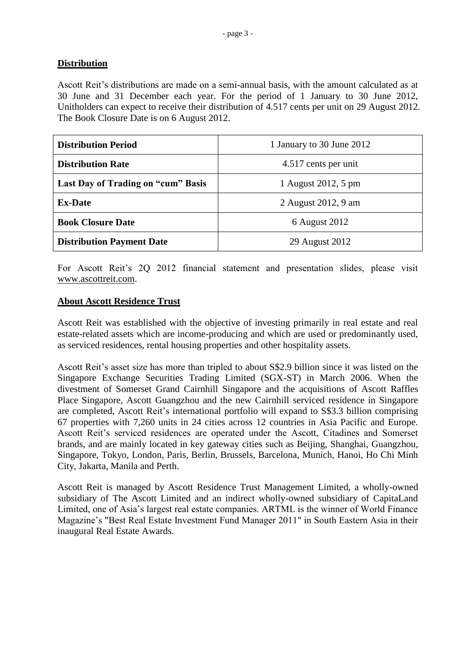# **Distribution**

Ascott Reit's distributions are made on a semi-annual basis, with the amount calculated as at 30 June and 31 December each year. For the period of 1 January to 30 June 2012, Unitholders can expect to receive their distribution of 4.517 cents per unit on 29 August 2012. The Book Closure Date is on 6 August 2012.

| <b>Distribution Period</b>         | 1 January to 30 June 2012 |  |
|------------------------------------|---------------------------|--|
| <b>Distribution Rate</b>           | 4.517 cents per unit      |  |
| Last Day of Trading on "cum" Basis | 1 August 2012, 5 pm       |  |
| <b>Ex-Date</b>                     | 2 August 2012, 9 am       |  |
| <b>Book Closure Date</b>           | 6 August 2012             |  |
| <b>Distribution Payment Date</b>   | 29 August 2012            |  |

For Ascott Reit's 2Q 2012 financial statement and presentation slides, please visit [www.ascottreit.com.](http://www.ascottreit.com/)

# **About Ascott Residence Trust**

Ascott Reit was established with the objective of investing primarily in real estate and real estate-related assets which are income-producing and which are used or predominantly used, as serviced residences, rental housing properties and other hospitality assets.

Ascott Reit's asset size has more than tripled to about S\$2.9 billion since it was listed on the Singapore Exchange Securities Trading Limited (SGX-ST) in March 2006. When the divestment of Somerset Grand Cairnhill Singapore and the acquisitions of Ascott Raffles Place Singapore, Ascott Guangzhou and the new Cairnhill serviced residence in Singapore are completed, Ascott Reit's international portfolio will expand to S\$3.3 billion comprising 67 properties with 7,260 units in 24 cities across 12 countries in Asia Pacific and Europe. Ascott Reit's serviced residences are operated under the Ascott, Citadines and Somerset brands, and are mainly located in key gateway cities such as Beijing, Shanghai, Guangzhou, Singapore, Tokyo, London, Paris, Berlin, Brussels, Barcelona, Munich, Hanoi, Ho Chi Minh City, Jakarta, Manila and Perth.

Ascott Reit is managed by Ascott Residence Trust Management Limited, a wholly-owned subsidiary of The Ascott Limited and an indirect wholly-owned subsidiary of CapitaLand Limited, one of Asia's largest real estate companies. ARTML is the winner of World Finance Magazine's "Best Real Estate Investment Fund Manager 2011" in South Eastern Asia in their inaugural Real Estate Awards.